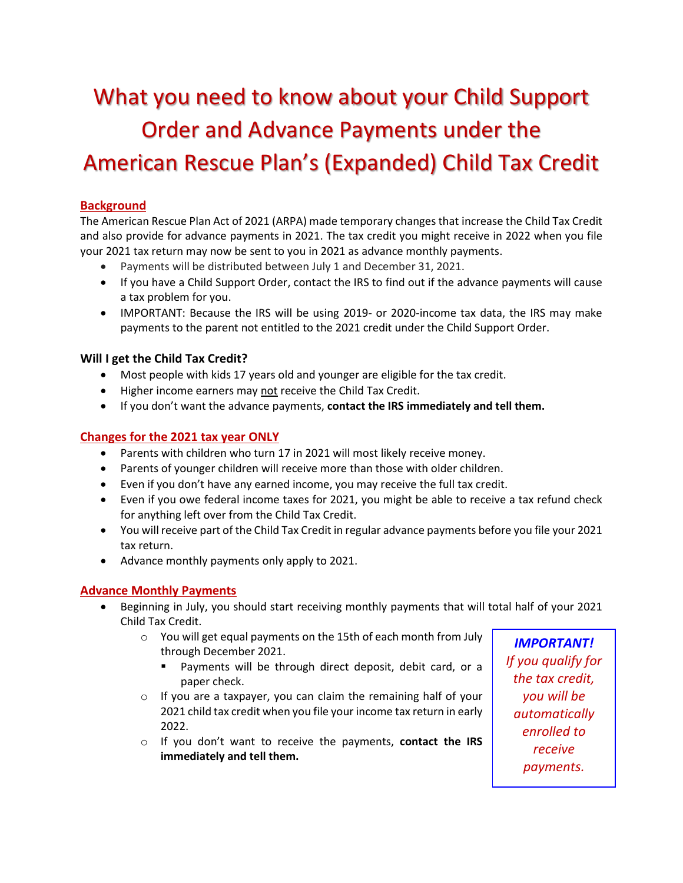# What you need to know about your Child Support Order and Advance Payments under the American Rescue Plan's (Expanded) Child Tax Credit

# **Background**

The American Rescue Plan Act of 2021 (ARPA) made temporary changes that increase the Child Tax Credit and also provide for advance payments in 2021. The tax credit you might receive in 2022 when you file your 2021 tax return may now be sent to you in 2021 as advance monthly payments.

- Payments will be distributed between July 1 and December 31, 2021.
- If you have a Child Support Order, contact the IRS to find out if the advance payments will cause a tax problem for you.
- IMPORTANT: Because the IRS will be using 2019- or 2020-income tax data, the IRS may make payments to the parent not entitled to the 2021 credit under the Child Support Order.

## **Will I get the Child Tax Credit?**

- Most people with kids 17 years old and younger are eligible for the tax credit.
- Higher income earners may not receive the Child Tax Credit.
- If you don't want the advance payments, **contact the IRS immediately and tell them.**

# **Changes for the 2021 tax year ONLY**

- Parents with children who turn 17 in 2021 will most likely receive money.
- Parents of younger children will receive more than those with older children.
- Even if you don't have any earned income, you may receive the full tax credit.
- Even if you owe federal income taxes for 2021, you might be able to receive a tax refund check for anything left over from the Child Tax Credit.
- You will receive part of the Child Tax Credit in regular advance payments before you file your 2021 tax return.
- Advance monthly payments only apply to 2021.

#### **Advance Monthly Payments**

- Beginning in July, you should start receiving monthly payments that will total half of your 2021 Child Tax Credit.
	- o You will get equal payments on the 15th of each month from July through December 2021.
		- Payments will be through direct deposit, debit card, or a paper check.
	- o If you are a taxpayer, you can claim the remaining half of your 2021 child tax credit when you file your income tax return in early 2022.
	- o If you don't want to receive the payments, **contact the IRS immediately and tell them.**

*IMPORTANT! If you qualify for the tax credit, you will be automatically enrolled to receive payments.*